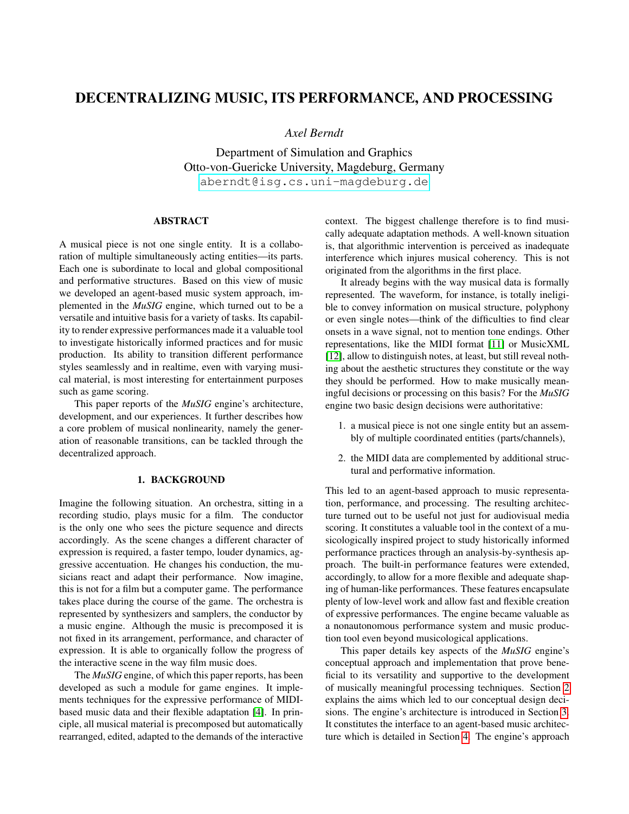# DECENTRALIZING MUSIC, ITS PERFORMANCE, AND PROCESSING

*Axel Berndt*

Department of Simulation and Graphics Otto-von-Guericke University, Magdeburg, Germany [aberndt@isg.cs.uni-magdeburg.de](mailto:aberndt@isg.cs.uni-magdeburg.de)

# ABSTRACT

A musical piece is not one single entity. It is a collaboration of multiple simultaneously acting entities—its parts. Each one is subordinate to local and global compositional and performative structures. Based on this view of music we developed an agent-based music system approach, implemented in the *MuSIG* engine, which turned out to be a versatile and intuitive basis for a variety of tasks. Its capability to render expressive performances made it a valuable tool to investigate historically informed practices and for music production. Its ability to transition different performance styles seamlessly and in realtime, even with varying musical material, is most interesting for entertainment purposes such as game scoring.

This paper reports of the *MuSIG* engine's architecture, development, and our experiences. It further describes how a core problem of musical nonlinearity, namely the generation of reasonable transitions, can be tackled through the decentralized approach.

#### 1. BACKGROUND

Imagine the following situation. An orchestra, sitting in a recording studio, plays music for a film. The conductor is the only one who sees the picture sequence and directs accordingly. As the scene changes a different character of expression is required, a faster tempo, louder dynamics, aggressive accentuation. He changes his conduction, the musicians react and adapt their performance. Now imagine, this is not for a film but a computer game. The performance takes place during the course of the game. The orchestra is represented by synthesizers and samplers, the conductor by a music engine. Although the music is precomposed it is not fixed in its arrangement, performance, and character of expression. It is able to organically follow the progress of the interactive scene in the way film music does.

The *MuSIG* engine, of which this paper reports, has been developed as such a module for game engines. It implements techniques for the expressive performance of MIDIbased music data and their flexible adaptation [\[4\]](#page-7-0). In principle, all musical material is precomposed but automatically rearranged, edited, adapted to the demands of the interactive context. The biggest challenge therefore is to find musically adequate adaptation methods. A well-known situation is, that algorithmic intervention is perceived as inadequate interference which injures musical coherency. This is not originated from the algorithms in the first place.

It already begins with the way musical data is formally represented. The waveform, for instance, is totally ineligible to convey information on musical structure, polyphony or even single notes—think of the difficulties to find clear onsets in a wave signal, not to mention tone endings. Other representations, like the MIDI format [\[11\]](#page-7-1) or MusicXML [\[12\]](#page-7-2), allow to distinguish notes, at least, but still reveal nothing about the aesthetic structures they constitute or the way they should be performed. How to make musically meaningful decisions or processing on this basis? For the *MuSIG* engine two basic design decisions were authoritative:

- 1. a musical piece is not one single entity but an assembly of multiple coordinated entities (parts/channels),
- 2. the MIDI data are complemented by additional structural and performative information.

This led to an agent-based approach to music representation, performance, and processing. The resulting architecture turned out to be useful not just for audiovisual media scoring. It constitutes a valuable tool in the context of a musicologically inspired project to study historically informed performance practices through an analysis-by-synthesis approach. The built-in performance features were extended, accordingly, to allow for a more flexible and adequate shaping of human-like performances. These features encapsulate plenty of low-level work and allow fast and flexible creation of expressive performances. The engine became valuable as a nonautonomous performance system and music production tool even beyond musicological applications.

This paper details key aspects of the *MuSIG* engine's conceptual approach and implementation that prove beneficial to its versatility and supportive to the development of musically meaningful processing techniques. Section [2](#page-1-0) explains the aims which led to our conceptual design decisions. The engine's architecture is introduced in Section [3.](#page-1-1) It constitutes the interface to an agent-based music architecture which is detailed in Section [4.](#page-2-0) The engine's approach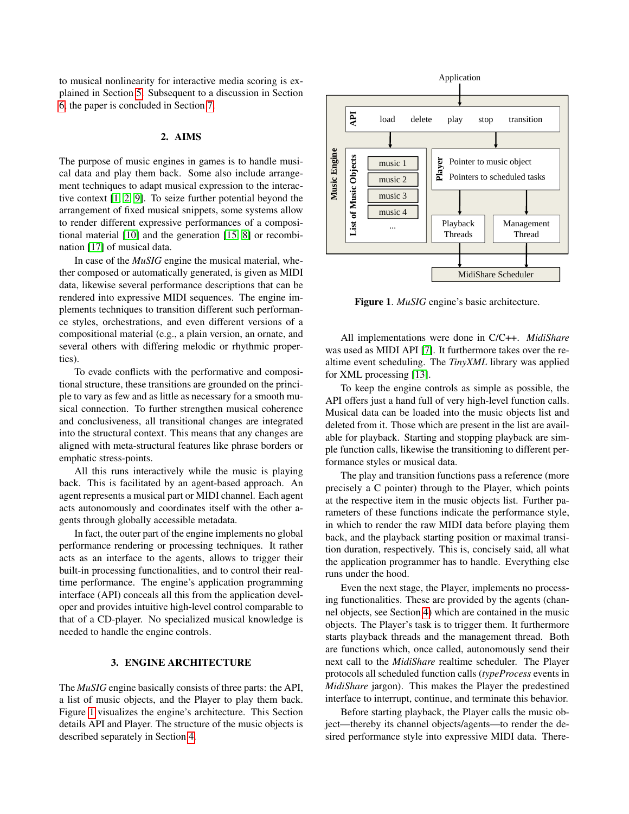to musical nonlinearity for interactive media scoring is explained in Section [5.](#page-4-0) Subsequent to a discussion in Section [6,](#page-6-0) the paper is concluded in Section [7.](#page-7-3)

## 2. AIMS

The purpose of music engines in games is to handle musical data and play them back. Some also include arrangement techniques to adapt musical expression to the interactive context [\[1,](#page-7-4) [2,](#page-7-5) [9\]](#page-7-6). To seize further potential beyond the arrangement of fixed musical snippets, some systems allow to render different expressive performances of a compositional material [\[10\]](#page-7-7) and the generation [\[15,](#page-7-8) [8\]](#page-7-9) or recombination [\[17\]](#page-7-10) of musical data.

In case of the *MuSIG* engine the musical material, whether composed or automatically generated, is given as MIDI data, likewise several performance descriptions that can be rendered into expressive MIDI sequences. The engine implements techniques to transition different such performance styles, orchestrations, and even different versions of a compositional material (e.g., a plain version, an ornate, and several others with differing melodic or rhythmic properties).

To evade conflicts with the performative and compositional structure, these transitions are grounded on the principle to vary as few and as little as necessary for a smooth musical connection. To further strengthen musical coherence and conclusiveness, all transitional changes are integrated into the structural context. This means that any changes are aligned with meta-structural features like phrase borders or emphatic stress-points.

All this runs interactively while the music is playing back. This is facilitated by an agent-based approach. An agent represents a musical part or MIDI channel. Each agent acts autonomously and coordinates itself with the other agents through globally accessible metadata.

<span id="page-1-0"></span>In fact, the outer part of the engine implements no global performance rendering or processing techniques. It rather acts as an interface to the agents, allows to trigger their built-in processing functionalities, and to control their realtime performance. The engine's application programming interface (API) conceals all this from the application developer and provides intuitive high-level control comparable to that of a CD-player. No specialized musical knowledge is needed to handle the engine controls. The purpose of music engines in games is to handle musical<br>and that an play them back. Some also include arrangement techniques to adapt musical expression to the interac-<br>tive context [1, 2, 9]. To seize further protenti

# 3. ENGINE ARCHITECTURE

<span id="page-1-1"></span>The *MuSIG* engine basically consists of three parts: the API, a list of music objects, and the Player to play them back. Figure [1](#page-1-2) visualizes the engine's architecture. This Section details API and Player. The structure of the music objects is

<span id="page-1-2"></span>

Figure 1. *MuSIG* engine's basic architecture.

All implementations were done in C/C++. *MidiShare* was used as MIDI API [\[7\]](#page-7-11). It furthermore takes over the realtime event scheduling. The *TinyXML* library was applied for XML processing [\[13\]](#page-7-12).

To keep the engine controls as simple as possible, the API offers just a hand full of very high-level function calls. Musical data can be loaded into the music objects list and deleted from it. Those which are present in the list are available for playback. Starting and stopping playback are simple function calls, likewise the transitioning to different performance styles or musical data.

The play and transition functions pass a reference (more precisely a C pointer) through to the Player, which points at the respective item in the music objects list. Further parameters of these functions indicate the performance style, in which to render the raw MIDI data before playing them back, and the playback starting position or maximal transition duration, respectively. This is, concisely said, all what the application programmer has to handle. Everything else runs under the hood.

Even the next stage, the Player, implements no processing functionalities. These are provided by the agents (channel objects, see Section [4\)](#page-2-0) which are contained in the music objects. The Player's task is to trigger them. It furthermore starts playback threads and the management thread. Both are functions which, once called, autonomously send their next call to the *MidiShare* realtime scheduler. The Player protocols all scheduled function calls (*typeProcess* events in *MidiShare* jargon). This makes the Player the predestined interface to interrupt, continue, and terminate this behavior.

Before starting playback, the Player calls the music object—thereby its channel objects/agents—to render the desired performance style into expressive MIDI data. There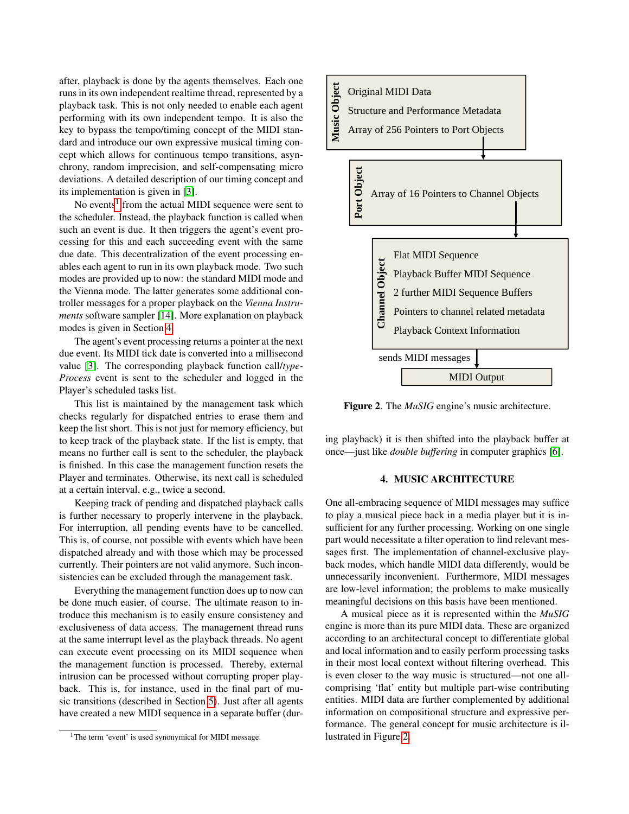after, playback is done by the agents themselves. Each one runs in its own independent realtime thread, represented by a playback task. This is not only needed to enable each agent performing with its own independent tempo. It is also the key to bypass the tempo/timing concept of the MIDI standard and introduce our own expressive musical timing concept which allows for continuous tempo transitions, asynchrony, random imprecision, and self-compensating micro deviations. A detailed description of our timing concept and its implementation is given in [\[3\]](#page-7-13).

No events<sup>[1](#page-2-1)</sup> from the actual MIDI sequence were sent to the scheduler. Instead, the playback function is called when such an event is due. It then triggers the agent's event processing for this and each succeeding event with the same due date. This decentralization of the event processing enables each agent to run in its own playback mode. Two such modes are provided up to now: the standard MIDI mode and the Vienna mode. The latter generates some additional controller messages for a proper playback on the *Vienna Instruments* software sampler [\[14\]](#page-7-14). More explanation on playback modes is given in Section [4.](#page-2-0)

The agent's event processing returns a pointer at the next due event. Its MIDI tick date is converted into a millisecond value [\[3\]](#page-7-13). The corresponding playback function call/*type-Process* event is sent to the scheduler and logged in the Player's scheduled tasks list.

This list is maintained by the management task which checks regularly for dispatched entries to erase them and keep the list short. This is not just for memory efficiency, but to keep track of the playback state. If the list is empty, that means no further call is sent to the scheduler, the playback is finished. In this case the management function resets the Player and terminates. Otherwise, its next call is scheduled at a certain interval, e.g., twice a second.

Keeping track of pending and dispatched playback calls is further necessary to properly intervene in the playback. For interruption, all pending events have to be cancelled. This is, of course, not possible with events which have been dispatched already and with those which may be processed currently. Their pointers are not valid anymore. Such inconsistencies can be excluded through the management task.

Everything the management function does up to now can be done much easier, of course. The ultimate reason to introduce this mechanism is to easily ensure consistency and exclusiveness of data access. The management thread runs at the same interrupt level as the playback threads. No agent can execute event processing on its MIDI sequence when the management function is processed. Thereby, external intrusion can be processed without corrupting proper playback. This is, for instance, used in the final part of music transitions (described in Section [5\)](#page-4-0). Just after all agents have created a new MIDI sequence in a separate buffer (dur-

<span id="page-2-2"></span>

Figure 2. The *MuSIG* engine's music architecture.

ing playback) it is then shifted into the playback buffer at once—just like *double buffering* in computer graphics [\[6\]](#page-7-15).

#### 4. MUSIC ARCHITECTURE

<span id="page-2-0"></span>One all-embracing sequence of MIDI messages may suffice to play a musical piece back in a media player but it is insufficient for any further processing. Working on one single part would necessitate a filter operation to find relevant messages first. The implementation of channel-exclusive playback modes, which handle MIDI data differently, would be unnecessarily inconvenient. Furthermore, MIDI messages are low-level information; the problems to make musically meaningful decisions on this basis have been mentioned.

A musical piece as it is represented within the *MuSIG* engine is more than its pure MIDI data. These are organized according to an architectural concept to differentiate global and local information and to easily perform processing tasks in their most local context without filtering overhead. This is even closer to the way music is structured—not one allcomprising 'flat' entity but multiple part-wise contributing entities. MIDI data are further complemented by additional information on compositional structure and expressive performance. The general concept for music architecture is illustrated in Figure [2.](#page-2-2)

<span id="page-2-1"></span><sup>&</sup>lt;sup>1</sup>The term 'event' is used synonymical for MIDI message.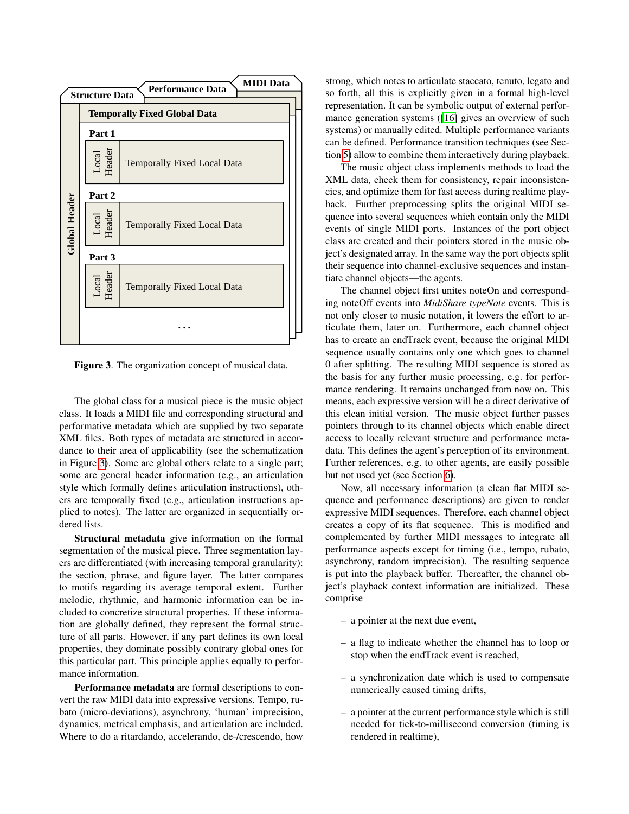<span id="page-3-0"></span>

Figure 3. The organization concept of musical data.

The global class for a musical piece is the music object class. It loads a MIDI file and corresponding structural and performative metadata which are supplied by two separate XML files. Both types of metadata are structured in accordance to their area of applicability (see the schematization in Figure [3\)](#page-3-0). Some are global others relate to a single part; some are general header information (e.g., an articulation style which formally defines articulation instructions), others are temporally fixed (e.g., articulation instructions applied to notes). The latter are organized in sequentially ordered lists.

Structural metadata give information on the formal segmentation of the musical piece. Three segmentation layers are differentiated (with increasing temporal granularity): the section, phrase, and figure layer. The latter compares to motifs regarding its average temporal extent. Further melodic, rhythmic, and harmonic information can be included to concretize structural properties. If these information are globally defined, they represent the formal structure of all parts. However, if any part defines its own local properties, they dominate possibly contrary global ones for this particular part. This principle applies equally to performance information.

Performance metadata are formal descriptions to convert the raw MIDI data into expressive versions. Tempo, rubato (micro-deviations), asynchrony, 'human' imprecision, dynamics, metrical emphasis, and articulation are included. Where to do a ritardando, accelerando, de-/crescendo, how strong, which notes to articulate staccato, tenuto, legato and so forth, all this is explicitly given in a formal high-level representation. It can be symbolic output of external performance generation systems ([\[16\]](#page-7-16) gives an overview of such systems) or manually edited. Multiple performance variants can be defined. Performance transition techniques (see Section [5\)](#page-4-0) allow to combine them interactively during playback.

The music object class implements methods to load the XML data, check them for consistency, repair inconsistencies, and optimize them for fast access during realtime playback. Further preprocessing splits the original MIDI sequence into several sequences which contain only the MIDI events of single MIDI ports. Instances of the port object class are created and their pointers stored in the music object's designated array. In the same way the port objects split their sequence into channel-exclusive sequences and instantiate channel objects—the agents.

The channel object first unites noteOn and corresponding noteOff events into *MidiShare typeNote* events. This is not only closer to music notation, it lowers the effort to articulate them, later on. Furthermore, each channel object has to create an endTrack event, because the original MIDI sequence usually contains only one which goes to channel 0 after splitting. The resulting MIDI sequence is stored as the basis for any further music processing, e.g. for performance rendering. It remains unchanged from now on. This means, each expressive version will be a direct derivative of this clean initial version. The music object further passes pointers through to its channel objects which enable direct access to locally relevant structure and performance metadata. This defines the agent's perception of its environment. Further references, e.g. to other agents, are easily possible but not used yet (see Section [6\)](#page-6-0).

Now, all necessary information (a clean flat MIDI sequence and performance descriptions) are given to render expressive MIDI sequences. Therefore, each channel object creates a copy of its flat sequence. This is modified and complemented by further MIDI messages to integrate all performance aspects except for timing (i.e., tempo, rubato, asynchrony, random imprecision). The resulting sequence is put into the playback buffer. Thereafter, the channel object's playback context information are initialized. These comprise

- a pointer at the next due event,
- a flag to indicate whether the channel has to loop or stop when the endTrack event is reached,
- a synchronization date which is used to compensate numerically caused timing drifts,
- a pointer at the current performance style which is still needed for tick-to-millisecond conversion (timing is rendered in realtime),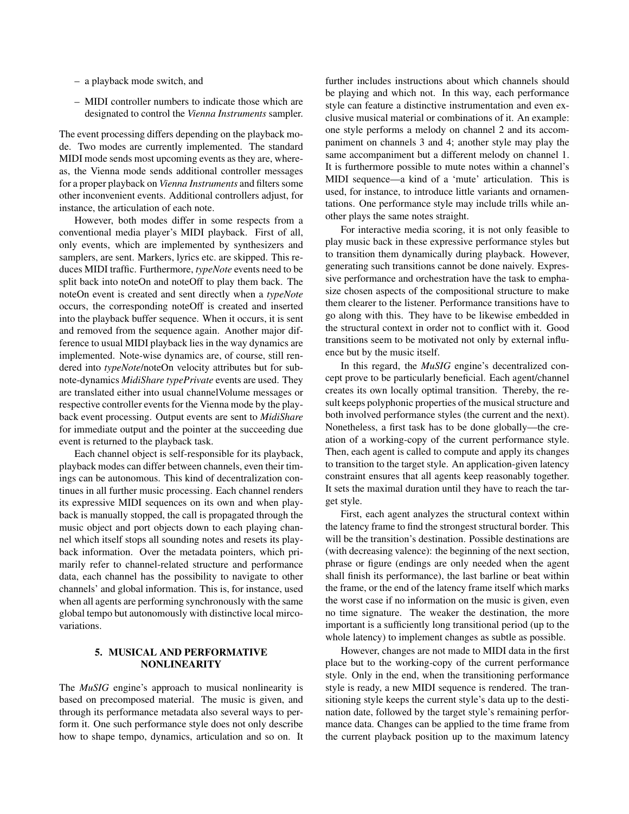- a playback mode switch, and
- MIDI controller numbers to indicate those which are designated to control the *Vienna Instruments* sampler.

The event processing differs depending on the playback mode. Two modes are currently implemented. The standard MIDI mode sends most upcoming events as they are, whereas, the Vienna mode sends additional controller messages for a proper playback on *Vienna Instruments* and filters some other inconvenient events. Additional controllers adjust, for instance, the articulation of each note.

However, both modes differ in some respects from a conventional media player's MIDI playback. First of all, only events, which are implemented by synthesizers and samplers, are sent. Markers, lyrics etc. are skipped. This reduces MIDI traffic. Furthermore, *typeNote* events need to be split back into noteOn and noteOff to play them back. The noteOn event is created and sent directly when a *typeNote* occurs, the corresponding noteOff is created and inserted into the playback buffer sequence. When it occurs, it is sent and removed from the sequence again. Another major difference to usual MIDI playback lies in the way dynamics are implemented. Note-wise dynamics are, of course, still rendered into *typeNote*/noteOn velocity attributes but for subnote-dynamics *MidiShare typePrivate* events are used. They are translated either into usual channelVolume messages or respective controller events for the Vienna mode by the playback event processing. Output events are sent to *MidiShare* for immediate output and the pointer at the succeeding due event is returned to the playback task.

Each channel object is self-responsible for its playback, playback modes can differ between channels, even their timings can be autonomous. This kind of decentralization continues in all further music processing. Each channel renders its expressive MIDI sequences on its own and when playback is manually stopped, the call is propagated through the music object and port objects down to each playing channel which itself stops all sounding notes and resets its playback information. Over the metadata pointers, which primarily refer to channel-related structure and performance data, each channel has the possibility to navigate to other channels' and global information. This is, for instance, used when all agents are performing synchronously with the same global tempo but autonomously with distinctive local mircovariations.

## <span id="page-4-0"></span>5. MUSICAL AND PERFORMATIVE NONLINEARITY

The *MuSIG* engine's approach to musical nonlinearity is based on precomposed material. The music is given, and through its performance metadata also several ways to perform it. One such performance style does not only describe how to shape tempo, dynamics, articulation and so on. It further includes instructions about which channels should be playing and which not. In this way, each performance style can feature a distinctive instrumentation and even exclusive musical material or combinations of it. An example: one style performs a melody on channel 2 and its accompaniment on channels 3 and 4; another style may play the same accompaniment but a different melody on channel 1. It is furthermore possible to mute notes within a channel's MIDI sequence—a kind of a 'mute' articulation. This is used, for instance, to introduce little variants and ornamentations. One performance style may include trills while another plays the same notes straight.

For interactive media scoring, it is not only feasible to play music back in these expressive performance styles but to transition them dynamically during playback. However, generating such transitions cannot be done naively. Expressive performance and orchestration have the task to emphasize chosen aspects of the compositional structure to make them clearer to the listener. Performance transitions have to go along with this. They have to be likewise embedded in the structural context in order not to conflict with it. Good transitions seem to be motivated not only by external influence but by the music itself.

In this regard, the *MuSIG* engine's decentralized concept prove to be particularly beneficial. Each agent/channel creates its own locally optimal transition. Thereby, the result keeps polyphonic properties of the musical structure and both involved performance styles (the current and the next). Nonetheless, a first task has to be done globally—the creation of a working-copy of the current performance style. Then, each agent is called to compute and apply its changes to transition to the target style. An application-given latency constraint ensures that all agents keep reasonably together. It sets the maximal duration until they have to reach the target style.

First, each agent analyzes the structural context within the latency frame to find the strongest structural border. This will be the transition's destination. Possible destinations are (with decreasing valence): the beginning of the next section, phrase or figure (endings are only needed when the agent shall finish its performance), the last barline or beat within the frame, or the end of the latency frame itself which marks the worst case if no information on the music is given, even no time signature. The weaker the destination, the more important is a sufficiently long transitional period (up to the whole latency) to implement changes as subtle as possible.

However, changes are not made to MIDI data in the first place but to the working-copy of the current performance style. Only in the end, when the transitioning performance style is ready, a new MIDI sequence is rendered. The transitioning style keeps the current style's data up to the destination date, followed by the target style's remaining performance data. Changes can be applied to the time frame from the current playback position up to the maximum latency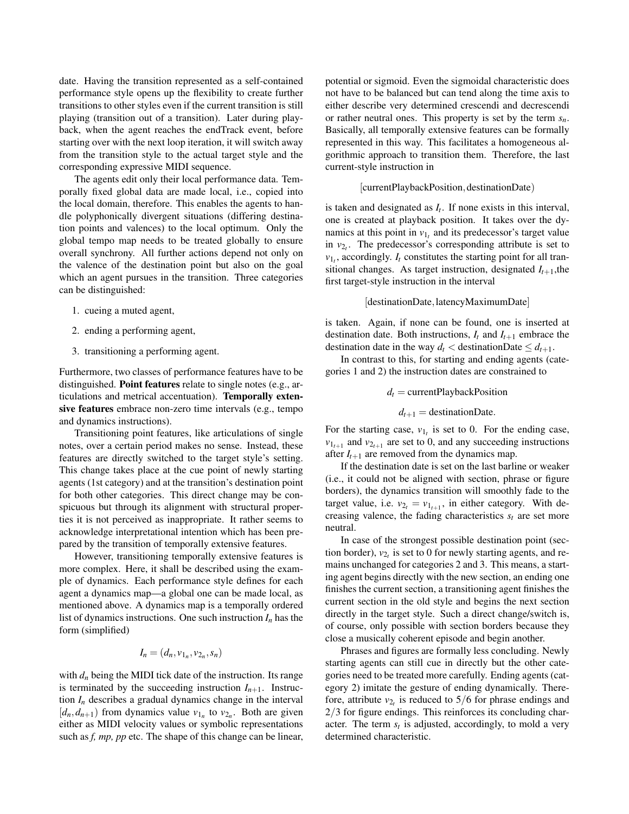date. Having the transition represented as a self-contained performance style opens up the flexibility to create further transitions to other styles even if the current transition is still playing (transition out of a transition). Later during playback, when the agent reaches the endTrack event, before starting over with the next loop iteration, it will switch away from the transition style to the actual target style and the corresponding expressive MIDI sequence.

The agents edit only their local performance data. Temporally fixed global data are made local, i.e., copied into the local domain, therefore. This enables the agents to handle polyphonically divergent situations (differing destination points and valences) to the local optimum. Only the global tempo map needs to be treated globally to ensure overall synchrony. All further actions depend not only on the valence of the destination point but also on the goal which an agent pursues in the transition. Three categories can be distinguished:

- 1. cueing a muted agent,
- 2. ending a performing agent,
- 3. transitioning a performing agent.

Furthermore, two classes of performance features have to be distinguished. Point features relate to single notes (e.g., articulations and metrical accentuation). Temporally extensive features embrace non-zero time intervals (e.g., tempo and dynamics instructions).

Transitioning point features, like articulations of single notes, over a certain period makes no sense. Instead, these features are directly switched to the target style's setting. This change takes place at the cue point of newly starting agents (1st category) and at the transition's destination point for both other categories. This direct change may be conspicuous but through its alignment with structural properties it is not perceived as inappropriate. It rather seems to acknowledge interpretational intention which has been prepared by the transition of temporally extensive features.

However, transitioning temporally extensive features is more complex. Here, it shall be described using the example of dynamics. Each performance style defines for each agent a dynamics map—a global one can be made local, as mentioned above. A dynamics map is a temporally ordered list of dynamics instructions. One such instruction *I<sup>n</sup>* has the form (simplified)

$$
I_n = (d_n, v_{1_n}, v_{2_n}, s_n)
$$

with  $d_n$  being the MIDI tick date of the instruction. Its range is terminated by the succeeding instruction  $I_{n+1}$ . Instruction  $I_n$  describes a gradual dynamics change in the interval  $[d_n, d_{n+1})$  from dynamics value  $v_{1n}$  to  $v_{2n}$ . Both are given either as MIDI velocity values or symbolic representations such as *f, mp, pp* etc. The shape of this change can be linear, potential or sigmoid. Even the sigmoidal characteristic does not have to be balanced but can tend along the time axis to either describe very determined crescendi and decrescendi or rather neutral ones. This property is set by the term *sn*. Basically, all temporally extensive features can be formally represented in this way. This facilitates a homogeneous algorithmic approach to transition them. Therefore, the last current-style instruction in

## [currentPlaybackPosition,destinationDate)

is taken and designated as  $I_t$ . If none exists in this interval, one is created at playback position. It takes over the dynamics at this point in  $v_{1t}$  and its predecessor's target value in  $v_{2t}$ . The predecessor's corresponding attribute is set to  $v_1$ , accordingly.  $I_t$  constitutes the starting point for all transitional changes. As target instruction, designated  $I_{t+1}$ , the first target-style instruction in the interval

#### [destinationDate, latencyMaximumDate]

is taken. Again, if none can be found, one is inserted at destination date. Both instructions,  $I_t$  and  $I_{t+1}$  embrace the destination date in the way  $d_t <$  destinationDate  $\leq d_{t+1}$ .

In contrast to this, for starting and ending agents (categories 1 and 2) the instruction dates are constrained to

 $d_t$  = currentPlaybackPosition

$$
d_{t+1} = destinationDate.
$$

For the starting case,  $v_{1t}$  is set to 0. For the ending case,  $v_{1_{t+1}}$  and  $v_{2_{t+1}}$  are set to 0, and any succeeding instructions after  $I_{t+1}$  are removed from the dynamics map.

If the destination date is set on the last barline or weaker (i.e., it could not be aligned with section, phrase or figure borders), the dynamics transition will smoothly fade to the target value, i.e.  $v_{2t} = v_{1t+1}$ , in either category. With decreasing valence, the fading characteristics  $s_t$  are set more neutral.

In case of the strongest possible destination point (section border),  $v_{2t}$  is set to 0 for newly starting agents, and remains unchanged for categories 2 and 3. This means, a starting agent begins directly with the new section, an ending one finishes the current section, a transitioning agent finishes the current section in the old style and begins the next section directly in the target style. Such a direct change/switch is, of course, only possible with section borders because they close a musically coherent episode and begin another.

Phrases and figures are formally less concluding. Newly starting agents can still cue in directly but the other categories need to be treated more carefully. Ending agents (category 2) imitate the gesture of ending dynamically. Therefore, attribute  $v_{2t}$  is reduced to 5/6 for phrase endings and 2/3 for figure endings. This reinforces its concluding character. The term  $s_t$  is adjusted, accordingly, to mold a very determined characteristic.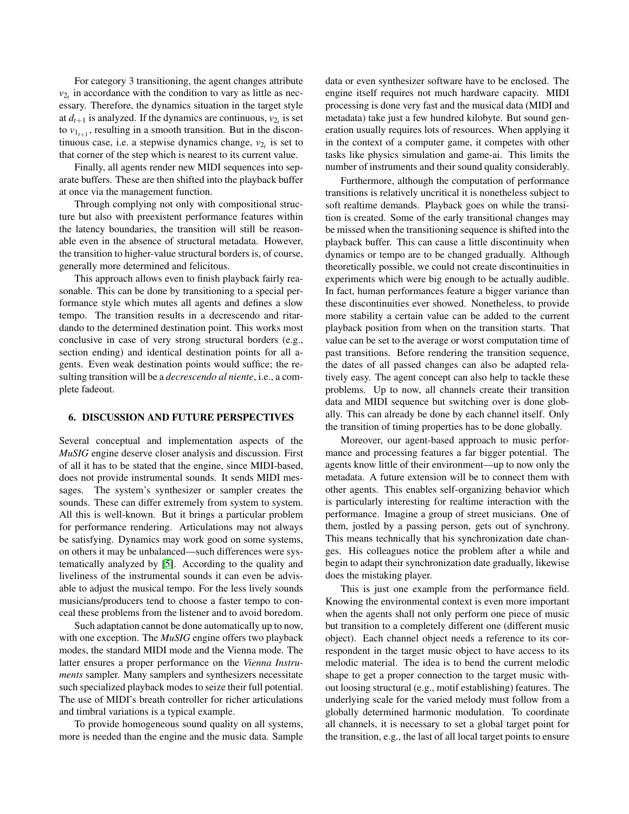For category 3 transitioning, the agent changes attribute  $v_{2t}$  in accordance with the condition to vary as little as necessary. Therefore, the dynamics situation in the target style at  $d_{t+1}$  is analyzed. If the dynamics are continuous,  $v_{2<sub>t</sub>}$  is set to  $v_{1_{t+1}}$ , resulting in a smooth transition. But in the discontinuous case, i.e. a stepwise dynamics change,  $v_{2t}$  is set to that corner of the step which is nearest to its current value.

Finally, all agents render new MIDI sequences into separate buffers. These are then shifted into the playback buffer at once via the management function.

Through complying not only with compositional structure but also with preexistent performance features within the latency boundaries, the transition will still be reasonable even in the absence of structural metadata. However, the transition to higher-value structural borders is, of course, generally more determined and felicitous.

This approach allows even to finish playback fairly reasonable. This can be done by transitioning to a special performance style which mutes all agents and defines a slow tempo. The transition results in a decrescendo and ritardando to the determined destination point. This works most conclusive in case of very strong structural borders (e.g., section ending) and identical destination points for all agents. Even weak destination points would suffice; the resulting transition will be a *decrescendo al niente*, i.e., a complete fadeout.

#### <span id="page-6-0"></span>6. DISCUSSION AND FUTURE PERSPECTIVES

Several conceptual and implementation aspects of the *MuSIG* engine deserve closer analysis and discussion. First of all it has to be stated that the engine, since MIDI-based, does not provide instrumental sounds. It sends MIDI messages. The system's synthesizer or sampler creates the sounds. These can differ extremely from system to system. All this is well-known. But it brings a particular problem for performance rendering. Articulations may not always be satisfying. Dynamics may work good on some systems, on others it may be unbalanced—such differences were systematically analyzed by [\[5\]](#page-7-17). According to the quality and liveliness of the instrumental sounds it can even be advisable to adjust the musical tempo. For the less lively sounds musicians/producers tend to choose a faster tempo to conceal these problems from the listener and to avoid boredom.

Such adaptation cannot be done automatically up to now, with one exception. The *MuSIG* engine offers two playback modes, the standard MIDI mode and the Vienna mode. The latter ensures a proper performance on the *Vienna Instruments* sampler. Many samplers and synthesizers necessitate such specialized playback modes to seize their full potential. The use of MIDI's breath controller for richer articulations and timbral variations is a typical example.

To provide homogeneous sound quality on all systems, more is needed than the engine and the music data. Sample data or even synthesizer software have to be enclosed. The engine itself requires not much hardware capacity. MIDI processing is done very fast and the musical data (MIDI and metadata) take just a few hundred kilobyte. But sound generation usually requires lots of resources. When applying it in the context of a computer game, it competes with other tasks like physics simulation and game-ai. This limits the number of instruments and their sound quality considerably.

Furthermore, although the computation of performance transitions is relatively uncritical it is nonetheless subject to soft realtime demands. Playback goes on while the transition is created. Some of the early transitional changes may be missed when the transitioning sequence is shifted into the playback buffer. This can cause a little discontinuity when dynamics or tempo are to be changed gradually. Although theoretically possible, we could not create discontinuities in experiments which were big enough to be actually audible. In fact, human performances feature a bigger variance than these discontinuities ever showed. Nonetheless, to provide more stability a certain value can be added to the current playback position from when on the transition starts. That value can be set to the average or worst computation time of past transitions. Before rendering the transition sequence, the dates of all passed changes can also be adapted relatively easy. The agent concept can also help to tackle these problems. Up to now, all channels create their transition data and MIDI sequence but switching over is done globally. This can already be done by each channel itself. Only the transition of timing properties has to be done globally.

Moreover, our agent-based approach to music performance and processing features a far bigger potential. The agents know little of their environment—up to now only the metadata. A future extension will be to connect them with other agents. This enables self-organizing behavior which is particularly interesting for realtime interaction with the performance. Imagine a group of street musicians. One of them, jostled by a passing person, gets out of synchrony. This means technically that his synchronization date changes. His colleagues notice the problem after a while and begin to adapt their synchronization date gradually, likewise does the mistaking player.

This is just one example from the performance field. Knowing the environmental context is even more important when the agents shall not only perform one piece of music but transition to a completely different one (different music object). Each channel object needs a reference to its correspondent in the target music object to have access to its melodic material. The idea is to bend the current melodic shape to get a proper connection to the target music without loosing structural (e.g., motif establishing) features. The underlying scale for the varied melody must follow from a globally determined harmonic modulation. To coordinate all channels, it is necessary to set a global target point for the transition, e.g., the last of all local target points to ensure